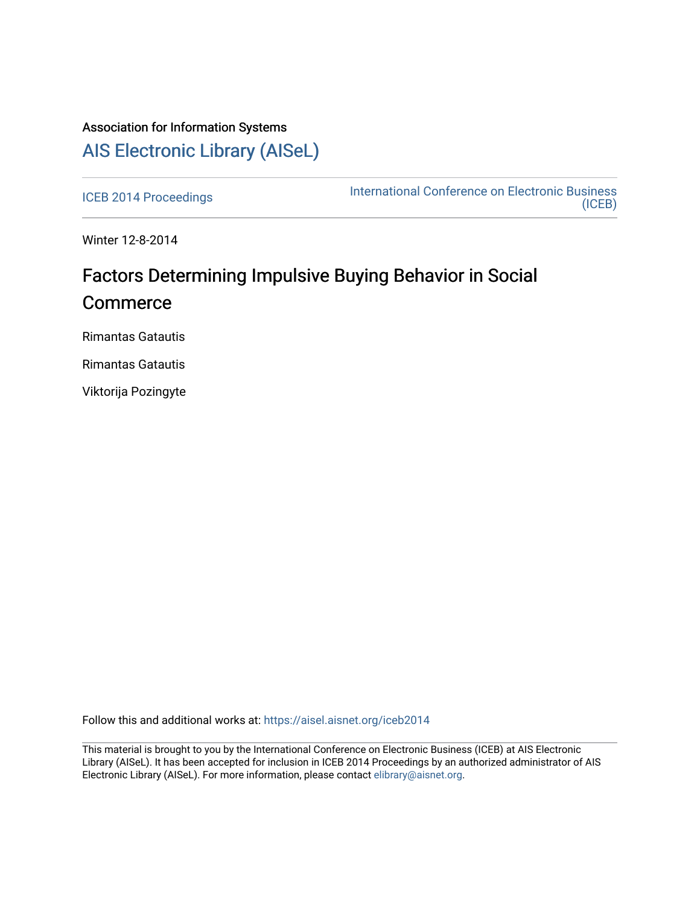## Association for Information Systems [AIS Electronic Library \(AISeL\)](https://aisel.aisnet.org/)

[ICEB 2014 Proceedings](https://aisel.aisnet.org/iceb2014) **International Conference on Electronic Business** [\(ICEB\)](https://aisel.aisnet.org/iceb) 

Winter 12-8-2014

# Factors Determining Impulsive Buying Behavior in Social **Commerce**

Rimantas Gatautis

Rimantas Gatautis

Viktorija Pozingyte

Follow this and additional works at: [https://aisel.aisnet.org/iceb2014](https://aisel.aisnet.org/iceb2014?utm_source=aisel.aisnet.org%2Ficeb2014%2F42&utm_medium=PDF&utm_campaign=PDFCoverPages)

This material is brought to you by the International Conference on Electronic Business (ICEB) at AIS Electronic Library (AISeL). It has been accepted for inclusion in ICEB 2014 Proceedings by an authorized administrator of AIS Electronic Library (AISeL). For more information, please contact [elibrary@aisnet.org.](mailto:elibrary@aisnet.org%3E)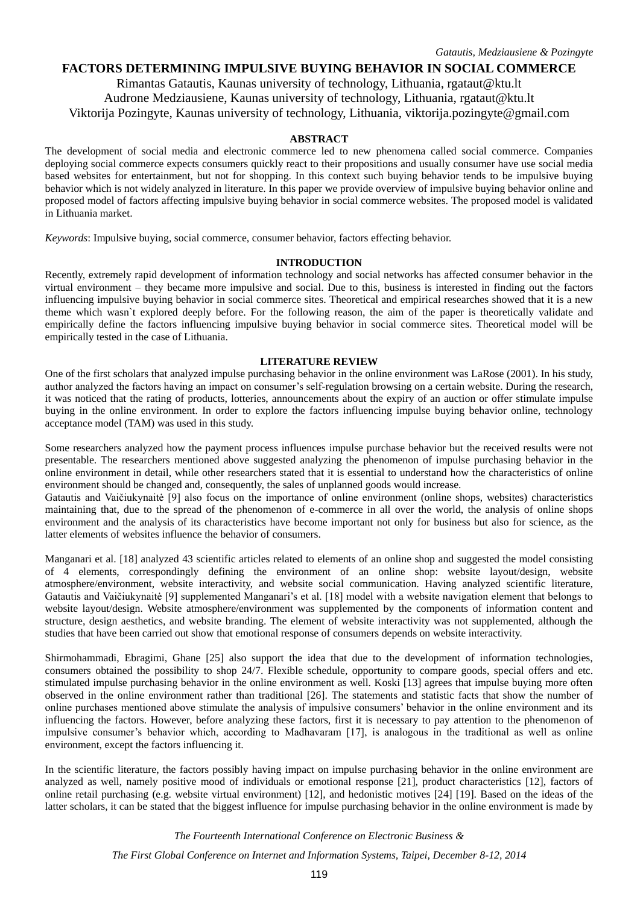### **FACTORS DETERMINING IMPULSIVE BUYING BEHAVIOR IN SOCIAL COMMERCE**

Rimantas Gatautis, Kaunas university of technology, Lithuania, rgataut@ktu.lt Audrone Medziausiene, Kaunas university of technology, Lithuania, rgataut@ktu.lt Viktorija Pozingyte, Kaunas university of technology, Lithuania, viktorija.pozingyte@gmail.com

#### **ABSTRACT**

The development of social media and electronic commerce led to new phenomena called social commerce. Companies deploying social commerce expects consumers quickly react to their propositions and usually consumer have use social media based websites for entertainment, but not for shopping. In this context such buying behavior tends to be impulsive buying behavior which is not widely analyzed in literature. In this paper we provide overview of impulsive buying behavior online and proposed model of factors affecting impulsive buying behavior in social commerce websites. The proposed model is validated in Lithuania market.

*Keywords*: Impulsive buying, social commerce, consumer behavior, factors effecting behavior.

#### **INTRODUCTION**

Recently, extremely rapid development of information technology and social networks has affected consumer behavior in the virtual environment – they became more impulsive and social. Due to this, business is interested in finding out the factors influencing impulsive buying behavior in social commerce sites. Theoretical and empirical researches showed that it is a new theme which wasn`t explored deeply before. For the following reason, the aim of the paper is theoretically validate and empirically define the factors influencing impulsive buying behavior in social commerce sites. Theoretical model will be empirically tested in the case of Lithuania.

#### **LITERATURE REVIEW**

One of the first scholars that analyzed impulse purchasing behavior in the online environment was LaRose (2001). In his study, author analyzed the factors having an impact on consumer's self-regulation browsing on a certain website. During the research, it was noticed that the rating of products, lotteries, announcements about the expiry of an auction or offer stimulate impulse buying in the online environment. In order to explore the factors influencing impulse buying behavior online, technology acceptance model (TAM) was used in this study.

Some researchers analyzed how the payment process influences impulse purchase behavior but the received results were not presentable. The researchers mentioned above suggested analyzing the phenomenon of impulse purchasing behavior in the online environment in detail, while other researchers stated that it is essential to understand how the characteristics of online environment should be changed and, consequently, the sales of unplanned goods would increase.

Gatautis and Vaičiukynaitė [9] also focus on the importance of online environment (online shops, websites) characteristics maintaining that, due to the spread of the phenomenon of e-commerce in all over the world, the analysis of online shops environment and the analysis of its characteristics have become important not only for business but also for science, as the latter elements of websites influence the behavior of consumers.

Manganari et al. [18] analyzed 43 scientific articles related to elements of an online shop and suggested the model consisting of 4 elements, correspondingly defining the environment of an online shop: website layout/design, website atmosphere/environment, website interactivity, and website social communication. Having analyzed scientific literature, Gatautis and Vaičiukynaitė [9] supplemented Manganari's et al. [18] model with a website navigation element that belongs to website layout/design. Website atmosphere/environment was supplemented by the components of information content and structure, design aesthetics, and website branding. The element of website interactivity was not supplemented, although the studies that have been carried out show that emotional response of consumers depends on website interactivity.

Shirmohammadi, Ebragimi, Ghane [25] also support the idea that due to the development of information technologies, consumers obtained the possibility to shop 24/7. Flexible schedule, opportunity to compare goods, special offers and etc. stimulated impulse purchasing behavior in the online environment as well. Koski [13] agrees that impulse buying more often observed in the online environment rather than traditional [26]. The statements and statistic facts that show the number of online purchases mentioned above stimulate the analysis of impulsive consumers' behavior in the online environment and its influencing the factors. However, before analyzing these factors, first it is necessary to pay attention to the phenomenon of impulsive consumer's behavior which, according to Madhavaram [17], is analogous in the traditional as well as online environment, except the factors influencing it.

In the scientific literature, the factors possibly having impact on impulse purchasing behavior in the online environment are analyzed as well, namely positive mood of individuals or emotional response [21], product characteristics [12], factors of online retail purchasing (e.g. website virtual environment) [12], and hedonistic motives [24] [19]. Based on the ideas of the latter scholars, it can be stated that the biggest influence for impulse purchasing behavior in the online environment is made by

*The Fourteenth International Conference on Electronic Business &*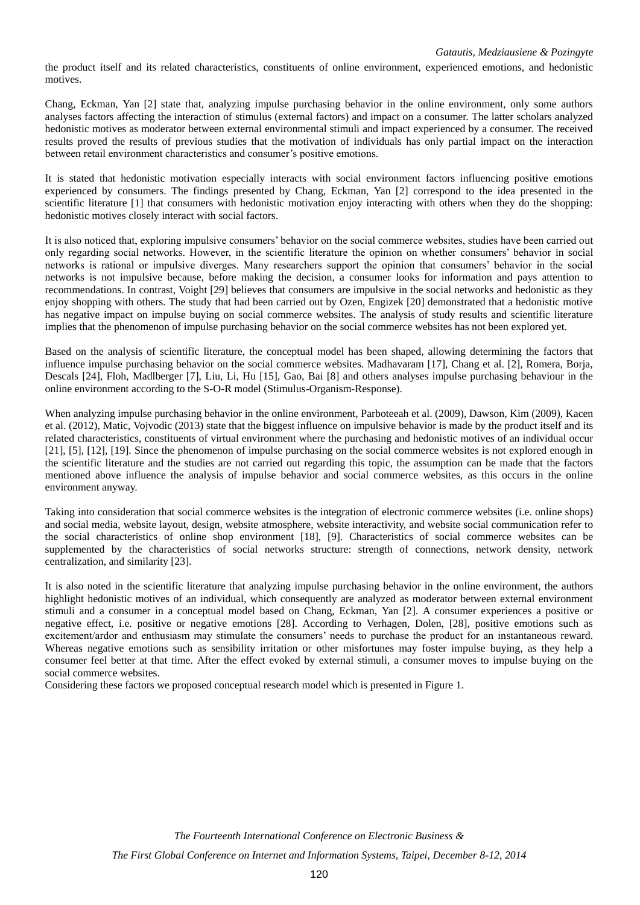the product itself and its related characteristics, constituents of online environment, experienced emotions, and hedonistic motives.

Chang, Eckman, Yan [2] state that, analyzing impulse purchasing behavior in the online environment, only some authors analyses factors affecting the interaction of stimulus (external factors) and impact on a consumer. The latter scholars analyzed hedonistic motives as moderator between external environmental stimuli and impact experienced by a consumer. The received results proved the results of previous studies that the motivation of individuals has only partial impact on the interaction between retail environment characteristics and consumer's positive emotions.

It is stated that hedonistic motivation especially interacts with social environment factors influencing positive emotions experienced by consumers. The findings presented by Chang, Eckman, Yan [2] correspond to the idea presented in the scientific literature [1] that consumers with hedonistic motivation enjoy interacting with others when they do the shopping: hedonistic motives closely interact with social factors.

It is also noticed that, exploring impulsive consumers' behavior on the social commerce websites, studies have been carried out only regarding social networks. However, in the scientific literature the opinion on whether consumers' behavior in social networks is rational or impulsive diverges. Many researchers support the opinion that consumers' behavior in the social networks is not impulsive because, before making the decision, a consumer looks for information and pays attention to recommendations. In contrast, Voight [29] believes that consumers are impulsive in the social networks and hedonistic as they enjoy shopping with others. The study that had been carried out by Ozen, Engizek [20] demonstrated that a hedonistic motive has negative impact on impulse buying on social commerce websites. The analysis of study results and scientific literature implies that the phenomenon of impulse purchasing behavior on the social commerce websites has not been explored yet.

Based on the analysis of scientific literature, the conceptual model has been shaped, allowing determining the factors that influence impulse purchasing behavior on the social commerce websites. Madhavaram [17], Chang et al. [2], Romera, Borja, Descals [24], Floh, Madlberger [7], Liu, Li, Hu [15], Gao, Bai [8] and others analyses impulse purchasing behaviour in the online environment according to the S-O-R model (Stimulus-Organism-Response).

When analyzing impulse purchasing behavior in the online environment, Parboteeah et al. (2009), Dawson, Kim (2009), Kacen et al. (2012), Matic, Vojvodic (2013) state that the biggest influence on impulsive behavior is made by the product itself and its related characteristics, constituents of virtual environment where the purchasing and hedonistic motives of an individual occur [21], [5], [12], [19]. Since the phenomenon of impulse purchasing on the social commerce websites is not explored enough in the scientific literature and the studies are not carried out regarding this topic, the assumption can be made that the factors mentioned above influence the analysis of impulse behavior and social commerce websites, as this occurs in the online environment anyway.

Taking into consideration that social commerce websites is the integration of electronic commerce websites (i.e. online shops) and social media, website layout, design, website atmosphere, website interactivity, and website social communication refer to the social characteristics of online shop environment [18], [9]. Characteristics of social commerce websites can be supplemented by the characteristics of social networks structure: strength of connections, network density, network centralization, and similarity [23].

It is also noted in the scientific literature that analyzing impulse purchasing behavior in the online environment, the authors highlight hedonistic motives of an individual, which consequently are analyzed as moderator between external environment stimuli and a consumer in a conceptual model based on Chang, Eckman, Yan [2]. A consumer experiences a positive or negative effect, i.e. positive or negative emotions [28]. According to Verhagen, Dolen, [28], positive emotions such as excitement/ardor and enthusiasm may stimulate the consumers' needs to purchase the product for an instantaneous reward. Whereas negative emotions such as sensibility irritation or other misfortunes may foster impulse buying, as they help a consumer feel better at that time. After the effect evoked by external stimuli, a consumer moves to impulse buying on the social commerce websites.

Considering these factors we proposed conceptual research model which is presented in Figure 1.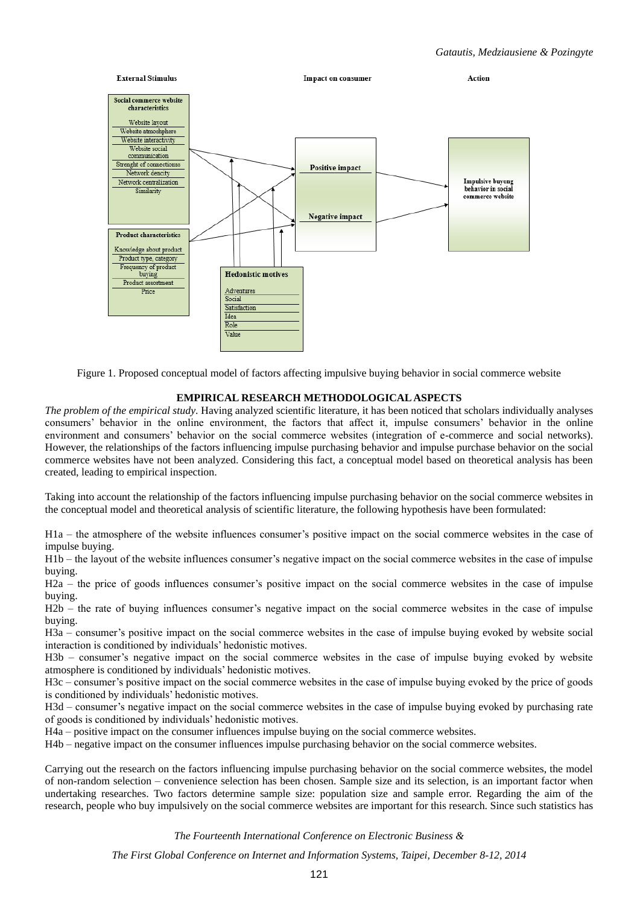

Figure 1. Proposed conceptual model of factors affecting impulsive buying behavior in social commerce website

#### **EMPIRICAL RESEARCH METHODOLOGICALASPECTS**

*The problem of the empirical study*. Having analyzed scientific literature, it has been noticed that scholars individually analyses consumers' behavior in the online environment, the factors that affect it, impulse consumers' behavior in the online environment and consumers' behavior on the social commerce websites (integration of e-commerce and social networks). However, the relationships of the factors influencing impulse purchasing behavior and impulse purchase behavior on the social commerce websites have not been analyzed. Considering this fact, a conceptual model based on theoretical analysis has been created, leading to empirical inspection.

Taking into account the relationship of the factors influencing impulse purchasing behavior on the social commerce websites in the conceptual model and theoretical analysis of scientific literature, the following hypothesis have been formulated:

H1a – the atmosphere of the website influences consumer's positive impact on the social commerce websites in the case of impulse buying.

H1b – the layout of the website influences consumer's negative impact on the social commerce websites in the case of impulse buying.

H2a – the price of goods influences consumer's positive impact on the social commerce websites in the case of impulse buying.

H2b – the rate of buying influences consumer's negative impact on the social commerce websites in the case of impulse buying.

H3a – consumer's positive impact on the social commerce websites in the case of impulse buying evoked by website social interaction is conditioned by individuals' hedonistic motives.

H3b – consumer's negative impact on the social commerce websites in the case of impulse buying evoked by website atmosphere is conditioned by individuals' hedonistic motives.

H3c – consumer's positive impact on the social commerce websites in the case of impulse buying evoked by the price of goods is conditioned by individuals' hedonistic motives.

H3d – consumer's negative impact on the social commerce websites in the case of impulse buying evoked by purchasing rate of goods is conditioned by individuals' hedonistic motives.

H4a – positive impact on the consumer influences impulse buying on the social commerce websites.

H4b – negative impact on the consumer influences impulse purchasing behavior on the social commerce websites.

Carrying out the research on the factors influencing impulse purchasing behavior on the social commerce websites, the model of non-random selection – convenience selection has been chosen. Sample size and its selection, is an important factor when undertaking researches. Two factors determine sample size: population size and sample error. Regarding the aim of the research, people who buy impulsively on the social commerce websites are important for this research. Since such statistics has

*The Fourteenth International Conference on Electronic Business &*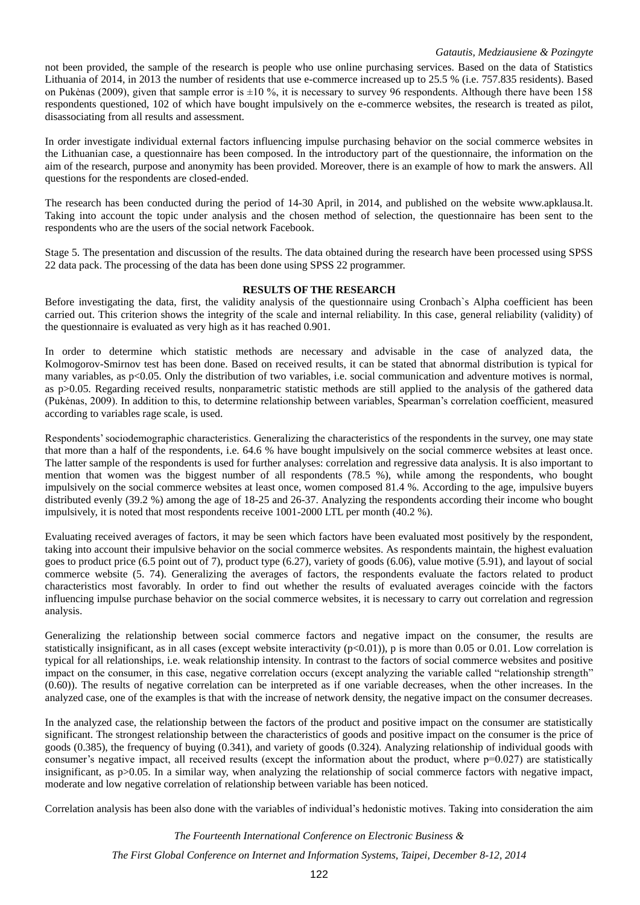#### *Gatautis, Medziausiene & Pozingyte*

not been provided, the sample of the research is people who use online purchasing services. Based on the data of Statistics Lithuania of 2014, in 2013 the number of residents that use e-commerce increased up to 25.5 % (i.e. 757.835 residents). Based on Pukėnas (2009), given that sample error is  $\pm 10\%$ , it is necessary to survey 96 respondents. Although there have been 158 respondents questioned, 102 of which have bought impulsively on the e-commerce websites, the research is treated as pilot, disassociating from all results and assessment.

In order investigate individual external factors influencing impulse purchasing behavior on the social commerce websites in the Lithuanian case, a questionnaire has been composed. In the introductory part of the questionnaire, the information on the aim of the research, purpose and anonymity has been provided. Moreover, there is an example of how to mark the answers. All questions for the respondents are closed-ended.

The research has been conducted during the period of 14-30 April, in 2014, and published on the website www.apklausa.lt. Taking into account the topic under analysis and the chosen method of selection, the questionnaire has been sent to the respondents who are the users of the social network Facebook.

Stage 5. The presentation and discussion of the results. The data obtained during the research have been processed using SPSS 22 data pack. The processing of the data has been done using SPSS 22 programmer.

#### **RESULTS OF THE RESEARCH**

Before investigating the data, first, the validity analysis of the questionnaire using Cronbach`s Alpha coefficient has been carried out. This criterion shows the integrity of the scale and internal reliability. In this case, general reliability (validity) of the questionnaire is evaluated as very high as it has reached 0.901.

In order to determine which statistic methods are necessary and advisable in the case of analyzed data, the Kolmogorov-Smirnov test has been done. Based on received results, it can be stated that abnormal distribution is typical for many variables, as p<0.05. Only the distribution of two variables, i.e. social communication and adventure motives is normal, as p>0.05. Regarding received results, nonparametric statistic methods are still applied to the analysis of the gathered data (Pukėnas, 2009). In addition to this, to determine relationship between variables, Spearman's correlation coefficient, measured according to variables rage scale, is used.

Respondents' sociodemographic characteristics. Generalizing the characteristics of the respondents in the survey, one may state that more than a half of the respondents, i.e. 64.6 % have bought impulsively on the social commerce websites at least once. The latter sample of the respondents is used for further analyses: correlation and regressive data analysis. It is also important to mention that women was the biggest number of all respondents (78.5 %), while among the respondents, who bought impulsively on the social commerce websites at least once, women composed 81.4 %. According to the age, impulsive buyers distributed evenly (39.2 %) among the age of 18-25 and 26-37. Analyzing the respondents according their income who bought impulsively, it is noted that most respondents receive 1001-2000 LTL per month (40.2 %).

Evaluating received averages of factors, it may be seen which factors have been evaluated most positively by the respondent, taking into account their impulsive behavior on the social commerce websites. As respondents maintain, the highest evaluation goes to product price (6.5 point out of 7), product type (6.27), variety of goods (6.06), value motive (5.91), and layout of social commerce website (5. 74). Generalizing the averages of factors, the respondents evaluate the factors related to product characteristics most favorably. In order to find out whether the results of evaluated averages coincide with the factors influencing impulse purchase behavior on the social commerce websites, it is necessary to carry out correlation and regression analysis.

Generalizing the relationship between social commerce factors and negative impact on the consumer, the results are statistically insignificant, as in all cases (except website interactivity  $(p<0.01)$ ), p is more than 0.05 or 0.01. Low correlation is typical for all relationships, i.e. weak relationship intensity. In contrast to the factors of social commerce websites and positive impact on the consumer, in this case, negative correlation occurs (except analyzing the variable called "relationship strength" (0.60)). The results of negative correlation can be interpreted as if one variable decreases, when the other increases. In the analyzed case, one of the examples is that with the increase of network density, the negative impact on the consumer decreases.

In the analyzed case, the relationship between the factors of the product and positive impact on the consumer are statistically significant. The strongest relationship between the characteristics of goods and positive impact on the consumer is the price of goods (0.385), the frequency of buying (0.341), and variety of goods (0.324). Analyzing relationship of individual goods with consumer's negative impact, all received results (except the information about the product, where  $p=0.027$ ) are statistically insignificant, as p>0.05. In a similar way, when analyzing the relationship of social commerce factors with negative impact, moderate and low negative correlation of relationship between variable has been noticed.

Correlation analysis has been also done with the variables of individual's hedonistic motives. Taking into consideration the aim

*The Fourteenth International Conference on Electronic Business &*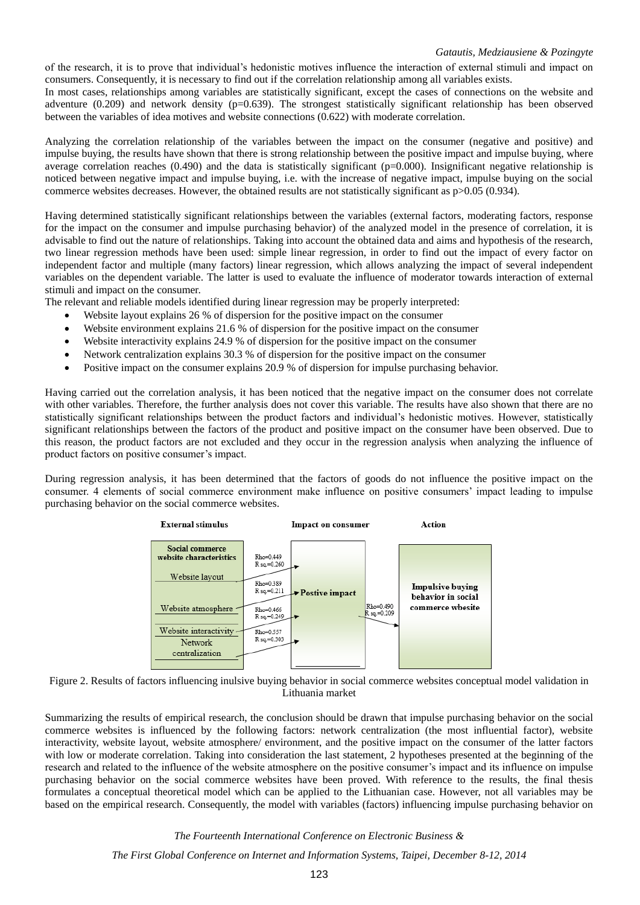of the research, it is to prove that individual's hedonistic motives influence the interaction of external stimuli and impact on consumers. Consequently, it is necessary to find out if the correlation relationship among all variables exists.

In most cases, relationships among variables are statistically significant, except the cases of connections on the website and adventure (0.209) and network density (p=0.639). The strongest statistically significant relationship has been observed between the variables of idea motives and website connections (0.622) with moderate correlation.

Analyzing the correlation relationship of the variables between the impact on the consumer (negative and positive) and impulse buying, the results have shown that there is strong relationship between the positive impact and impulse buying, where average correlation reaches  $(0.490)$  and the data is statistically significant ( $p=0.000$ ). Insignificant negative relationship is noticed between negative impact and impulse buying, i.e. with the increase of negative impact, impulse buying on the social commerce websites decreases. However, the obtained results are not statistically significant as  $p > 0.05$  (0.934).

Having determined statistically significant relationships between the variables (external factors, moderating factors, response for the impact on the consumer and impulse purchasing behavior) of the analyzed model in the presence of correlation, it is advisable to find out the nature of relationships. Taking into account the obtained data and aims and hypothesis of the research, two linear regression methods have been used: simple linear regression, in order to find out the impact of every factor on independent factor and multiple (many factors) linear regression, which allows analyzing the impact of several independent variables on the dependent variable. The latter is used to evaluate the influence of moderator towards interaction of external stimuli and impact on the consumer.

The relevant and reliable models identified during linear regression may be properly interpreted:

- Website layout explains 26 % of dispersion for the positive impact on the consumer
- Website environment explains 21.6 % of dispersion for the positive impact on the consumer
- Website interactivity explains 24.9 % of dispersion for the positive impact on the consumer
- Network centralization explains 30.3 % of dispersion for the positive impact on the consumer
- Positive impact on the consumer explains 20.9 % of dispersion for impulse purchasing behavior.

Having carried out the correlation analysis, it has been noticed that the negative impact on the consumer does not correlate with other variables. Therefore, the further analysis does not cover this variable. The results have also shown that there are no statistically significant relationships between the product factors and individual's hedonistic motives. However, statistically significant relationships between the factors of the product and positive impact on the consumer have been observed. Due to this reason, the product factors are not excluded and they occur in the regression analysis when analyzing the influence of product factors on positive consumer's impact.

During regression analysis, it has been determined that the factors of goods do not influence the positive impact on the consumer. 4 elements of social commerce environment make influence on positive consumers' impact leading to impulse purchasing behavior on the social commerce websites.



Figure 2. Results of factors influencing inulsive buying behavior in social commerce websites conceptual model validation in Lithuania market

Summarizing the results of empirical research, the conclusion should be drawn that impulse purchasing behavior on the social commerce websites is influenced by the following factors: network centralization (the most influential factor), website interactivity, website layout, website atmosphere/ environment, and the positive impact on the consumer of the latter factors with low or moderate correlation. Taking into consideration the last statement, 2 hypotheses presented at the beginning of the research and related to the influence of the website atmosphere on the positive consumer's impact and its influence on impulse purchasing behavior on the social commerce websites have been proved. With reference to the results, the final thesis formulates a conceptual theoretical model which can be applied to the Lithuanian case. However, not all variables may be based on the empirical research. Consequently, the model with variables (factors) influencing impulse purchasing behavior on

*The Fourteenth International Conference on Electronic Business &*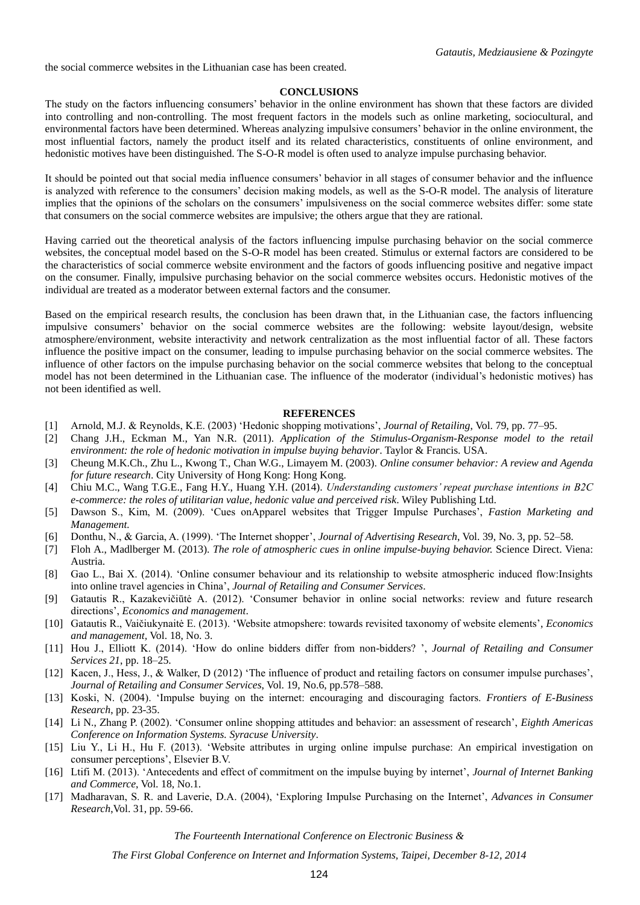the social commerce websites in the Lithuanian case has been created.

#### **CONCLUSIONS**

The study on the factors influencing consumers' behavior in the online environment has shown that these factors are divided into controlling and non-controlling. The most frequent factors in the models such as online marketing, sociocultural, and environmental factors have been determined. Whereas analyzing impulsive consumers' behavior in the online environment, the most influential factors, namely the product itself and its related characteristics, constituents of online environment, and hedonistic motives have been distinguished. The S-O-R model is often used to analyze impulse purchasing behavior.

It should be pointed out that social media influence consumers' behavior in all stages of consumer behavior and the influence is analyzed with reference to the consumers' decision making models, as well as the S-O-R model. The analysis of literature implies that the opinions of the scholars on the consumers' impulsiveness on the social commerce websites differ: some state that consumers on the social commerce websites are impulsive; the others argue that they are rational.

Having carried out the theoretical analysis of the factors influencing impulse purchasing behavior on the social commerce websites, the conceptual model based on the S-O-R model has been created. Stimulus or external factors are considered to be the characteristics of social commerce website environment and the factors of goods influencing positive and negative impact on the consumer. Finally, impulsive purchasing behavior on the social commerce websites occurs. Hedonistic motives of the individual are treated as a moderator between external factors and the consumer.

Based on the empirical research results, the conclusion has been drawn that, in the Lithuanian case, the factors influencing impulsive consumers' behavior on the social commerce websites are the following: website layout/design, website atmosphere/environment, website interactivity and network centralization as the most influential factor of all. These factors influence the positive impact on the consumer, leading to impulse purchasing behavior on the social commerce websites. The influence of other factors on the impulse purchasing behavior on the social commerce websites that belong to the conceptual model has not been determined in the Lithuanian case. The influence of the moderator (individual's hedonistic motives) has not been identified as well.

#### **REFERENCES**

- [1] Arnold, M.J. & Reynolds, K.E. (2003) 'Hedonic shopping motivations', *Journal of Retailing*, Vol. 79, pp. 77–95.
- [2] Chang J.H., Eckman M., Yan N.R. (2011). *Application of the Stimulus-Organism-Response model to the retail environment: the role of hedonic motivation in impulse buying behavior*. Taylor & Francis. USA.
- [3] Cheung M.K.Ch., Zhu L., Kwong T., Chan W.G., Limayem M. (2003). *Online consumer behavior: A review and Agenda for future research*. City University of Hong Kong: Hong Kong.
- [4] Chiu M.C., Wang T.G.E., Fang H.Y., Huang Y.H. (2014). *Understanding customers' repeat purchase intentions in B2C e-commerce: the roles of utilitarian value, hedonic value and perceived risk*. Wiley Publishing Ltd.
- [5] Dawson S., Kim, M. (2009). 'Cues onApparel websites that Trigger Impulse Purchases', *Fastion Marketing and Management.*
- [6] Donthu, N., & Garcia, A. (1999). 'The Internet shopper', *Journal of Advertising Research*, Vol. 39, No. 3, pp. 52–58.
- [7] Floh A., Madlberger M. (2013). *The role of atmospheric cues in online impulse-buying behavior.* Science Direct. Viena: Austria.
- [8] Gao L., Bai X. (2014). 'Online consumer behaviour and its relationship to website atmospheric induced flow:Insights into online travel agencies in China', *Journal of Retailing and Consumer Services*.
- [9] Gatautis R., Kazakevičiūtė A. (2012). 'Consumer behavior in online social networks: review and future research directions', *Economics and management*.
- [10] Gatautis R., Vaičiukynaitė E. (2013). 'Website atmopshere: towards revisited taxonomy of website elements', *Economics and management,* Vol. 18, No. 3.
- [11] Hou J., Elliott K. (2014). 'How do online bidders differ from non-bidders? ', *Journal of Retailing and Consumer Services 21*, pp. 18–25.
- [12] Kacen, J., Hess, J., & Walker, D (2012) 'The influence of product and retailing factors on consumer impulse purchases', *Journal of Retailing and Consumer Services*, Vol. 19, No.6, pp.578–588.
- [13] Koski, N. (2004). 'Impulse buying on the internet: encouraging and discouraging factors. *Frontiers of E-Business Research*, pp. 23-35.
- [14] Li N., Zhang P. (2002). 'Consumer online shopping attitudes and behavior: an assessment of research', *Eighth Americas Conference on Information Systems. Syracuse University*.
- [15] Liu Y., Li H., Hu F. (2013). 'Website attributes in urging online impulse purchase: An empirical investigation on consumer perceptions', Elsevier B.V.
- [16] Ltifi M. (2013). 'Antecedents and effect of commitment on the impulse buying by internet', *Journal of Internet Banking and Commerce*, Vol. 18, No.1.
- [17] Madharavan, S. R. and Laverie, D.A. (2004), 'Exploring Impulse Purchasing on the Internet', *Advances in Consumer Research*,Vol. 31, pp. 59-66.

*The Fourteenth International Conference on Electronic Business &*